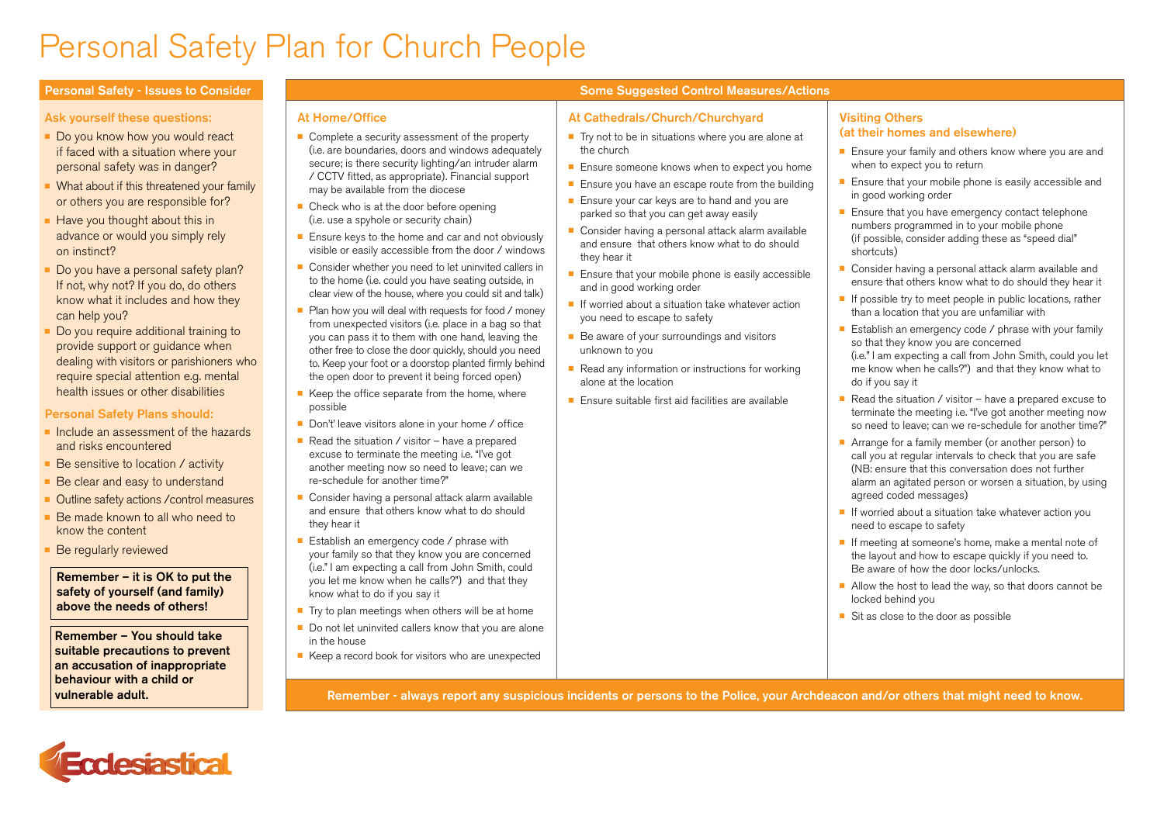## Personal Safety Plan for Church People

#### Ask yourself these questions:

- Do you know how you would react if faced with a situation where your personal safety was in danger?
- $\blacksquare$  What about if this threatened your family or others you are responsible for?
- $\blacksquare$  Have you thought about this in advance or would you simply rely on instinct?
- Do you have a personal safety plan? If not, why not? If you do, do others know what it includes and how they can help you?
- Do you require additional training to provide support or guidance when dealing with visitors or parishioners who require special attention e.g. mental health issues or other disabilities

#### Personal Safety Plans should:

- n Include an assessment of the hazards and risks encountered
- Be sensitive to location / activity
- Be clear and easy to understand
- Outline safety actions / control measures
- Be made known to all who need to know the content
- Be regularly reviewed

#### Remember – it is OK to put the safety of yourself (and family) above the needs of others!

Remember – You should take suitable precautions to prevent an accusation of inappropriate behaviour with a child or vulnerable adult.

### At Home/Office

- $\blacksquare$  Complete a security assessment of the property (i.e. are boundaries, doors and windows adequately secure; is there security lighting/an intruder alarm / CCTV fitted, as appropriate). Financial support may be available from the diocese
- $\blacksquare$  Check who is at the door before opening (i.e. use a spyhole or security chain)
- $\blacksquare$  Ensure keys to the home and car and not obviously visible or easily accessible from the door / windows
- $\blacksquare$  Consider whether you need to let uninvited callers in to the home (i.e. could you have seating outside, in clear view of the house, where you could sit and talk)
- $\blacksquare$  Plan how you will deal with requests for food / money from unexpected visitors (i.e. place in a bag so that you can pass it to them with one hand, leaving the other free to close the door quickly, should you need to. Keep your foot or a doorstop planted firmly behind the open door to prevent it being forced open)
- $\blacksquare$  Keep the office separate from the home, where possible
- Don't' leave visitors alone in your home / office
- Read the situation / visitor have a prepared excuse to terminate the meeting i.e. "I've got another meeting now so need to leave; can we re-schedule for another time?"
- Consider having a personal attack alarm available and ensure that others know what to do should they hear it
- $\blacksquare$  Establish an emergency code / phrase with your family so that they know you are concerned (i.e." I am expecting a call from John Smith, could you let me know when he calls?") and that they know what to do if you say it
- $\blacksquare$  Try to plan meetings when others will be at home
- $\blacksquare$  Do not let uninvited callers know that you are alone in the house
- $\blacksquare$  Keep a record book for visitors who are unexpected

### Personal Safety - Issues to Consider New Some Suggested Control Measures/Actions

#### At Cathedrals/Church/Churchyard

- $\blacksquare$  Try not to be in situations where you are alone at the church
- $\blacksquare$  Ensure someone knows when to expect you home
- $\blacksquare$  Ensure you have an escape route from the building
- $\blacksquare$  Ensure your car keys are to hand and you are parked so that you can get away easily
- Consider having a personal attack alarm available and ensure that others know what to do should they hear it
- $\blacksquare$  Ensure that your mobile phone is easily accessible and in good working order
- $\blacksquare$  If worried about a situation take whatever action you need to escape to safety
- $\blacksquare$  Be aware of your surroundings and visitors unknown to you
- $\blacksquare$  Read any information or instructions for working alone at the location
- <sup>n</sup> Ensure suitable first aid facilities are available

#### Visiting Others (at their homes and elsewhere)

- $\blacksquare$  Ensure your family and others know where you are and when to expect you to return
- $\blacksquare$  Ensure that your mobile phone is easily accessible and in good working order
- $\blacksquare$  Ensure that you have emergency contact telephone numbers programmed in to your mobile phone (if possible, consider adding these as "speed dial" shortcuts)
- $\blacksquare$  Consider having a personal attack alarm available and ensure that others know what to do should they hear it
- $\blacksquare$  If possible try to meet people in public locations, rather than a location that you are unfamiliar with
- Establish an emergency code  $\ell$  phrase with your family so that they know you are concerned (i.e." I am expecting a call from John Smith, could you let
- me know when he calls?") and that they know what to do if you say it
- Read the situation / visitor have a prepared excuse to terminate the meeting i.e. "I've got another meeting now so need to leave; can we re-schedule for another time?"
- Arrange for a family member (or another person) to call you at regular intervals to check that you are safe (NB: ensure that this conversation does not further alarm an agitated person or worsen a situation, by using agreed coded messages)
- $\blacksquare$  If worried about a situation take whatever action you need to escape to safety
- $\blacksquare$  If meeting at someone's home, make a mental note of the layout and how to escape quickly if you need to. Be aware of how the door locks/unlocks.
- $\blacksquare$  Allow the host to lead the way, so that doors cannot be locked behind you
- $\blacksquare$  Sit as close to the door as possible

Remember - always report any suspicious incidents or persons to the Police, your Archdeacon and/or others that might need to know.